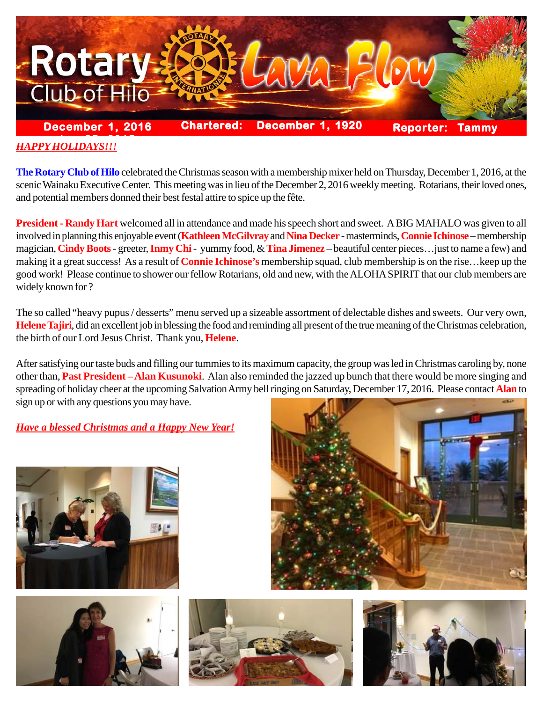

# **ber 25, 2015** *HAPPY HOLIDAYS!!!*

**The Rotary Club of Hilo** celebrated the Christmas season with a membership mixer held on Thursday, December 1, 2016, at the scenic Wainaku Executive Center. This meeting was in lieu of the December 2, 2016 weekly meeting. Rotarians, their loved ones, and potential members donned their best festal attire to spice up the fête.

**President - Randy Hart** welcomed all in attendance and made his speech short and sweet. A BIG MAHALO was given to all involved in planning this enjoyable event (**Kathleen McGilvray** and **Nina Decker** - masterminds, **Connie Ichinose** – membership magician, **Cindy Boots** - greeter, **Inmy Chi** - yummy food, & **Tina Jimenez** – beautiful center pieces…just to name a few) and making it a great success! As a result of **Connie Ichinose's** membership squad, club membership is on the rise…keep up the good work! Please continue to shower our fellow Rotarians, old and new, with the ALOHA SPIRIT that our club members are widely known for ?

The so called "heavy pupus / desserts" menu served up a sizeable assortment of delectable dishes and sweets. Our very own, **Helene Tajiri**, did an excellent job in blessing the food and reminding all present of the true meaning of the Christmas celebration, the birth of our Lord Jesus Christ. Thank you, **Helene**.

After satisfying our taste buds and filling our tummies to its maximum capacity, the group was led in Christmas caroling by, none other than, **Past President – Alan Kusunoki**. Alan also reminded the jazzed up bunch that there would be more singing and spreading of holiday cheer at the upcoming Salvation Army bell ringing on Saturday, December 17, 2016. Please contact **Alan** to sign up or with any questions you may have.

*Have a blessed Christmas and a Happy New Year!*









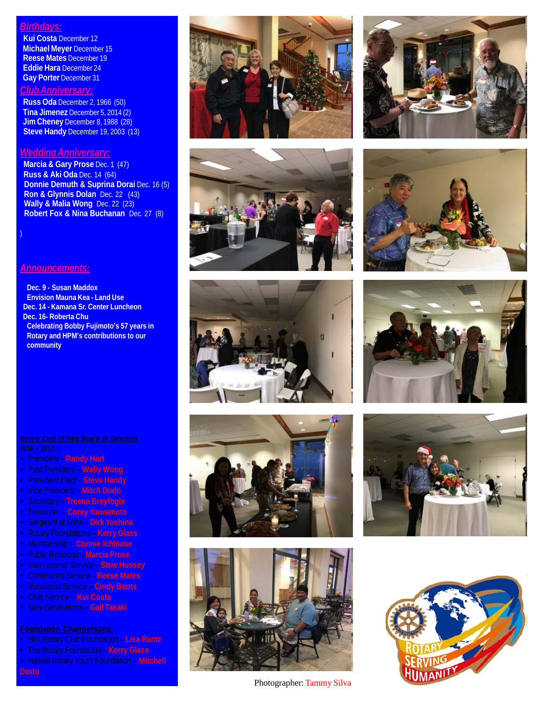# *Birthdays:*

 **Kui Costa** December 12  **Michael Meyer** December 15  **Reese Mates** December 19  **Eddie Hara** December 24  **Gay Porter** December 31

#### *Club Anniversary:*

 **Russ Oda** December 2, 1966 (50)  **Tina Jimenez** December 5, 2014 (2)  **Jim Cheney** December 8, 1988 (28)  **Steve Handy** December 19, 2003 (13)

### *Wedding Anniversary:*

 **Marcia & Gary Prose** Dec. 1 (47)  **Russ & Aki Oda** Dec. 14 (64)  **Donnie Demuth & Suprina Dorai** Dec. 16 (5)  **Ron & Glynnis Dolan** Dec. 22 (43)  **Wally & Malia Wong** Dec. 22 (23)  **Robert Fox & Nina Buchanan** Dec. 27 (8)

### *Announcements:*

)

 **Dec. 9 - Susan Maddox Envision Mauna Kea - Land Use Dec. 14 - Kamana Sr. Center Luncheon Dec. 16- Roberta Chu Celebrating Bobby Fujimoto's 57 years in Rotary and HPM's contributions to our community**

- President **Randy Hart**
- Past President **Wally Wong**
- President Elect **Steve Handy**
- Vice President **Mitch Dodo**
- Secretary **Treena Breyfogle**
- Treasurer **Corey Kawamoto**
- Sergeant at Arms **Dirk Yoshina**
- Rotary Foundations **Kerry Glass**
- Membership **Connie Ichinose**
- Public Relations **Marcia Prose**
- International Service **Stew Hussey**
- Community Service **Reese Mates**
- Vocational Service **Cindy Boots**
- Club Service **Kui Costa**
- New Generations **Gail Takaki**

- Hilo Rotary Club Foundation **Lisa Rantz**
- 
- Hawaii Rotary Youth Foundation **Mitchell**











Photographer: Tammy Silva









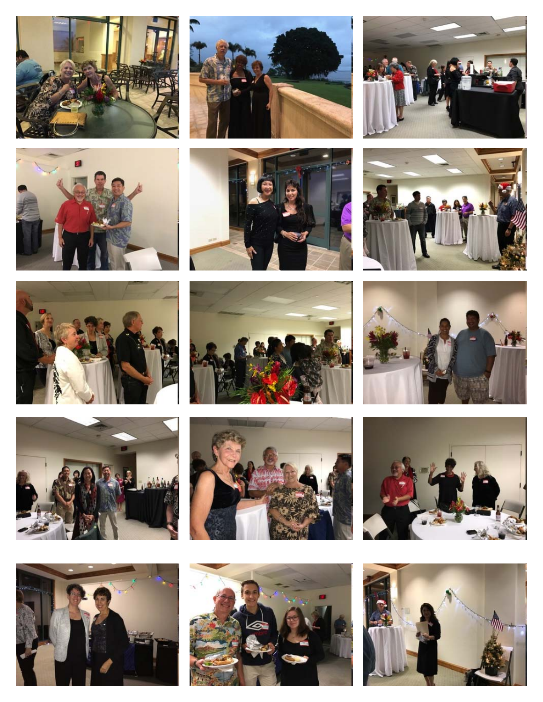